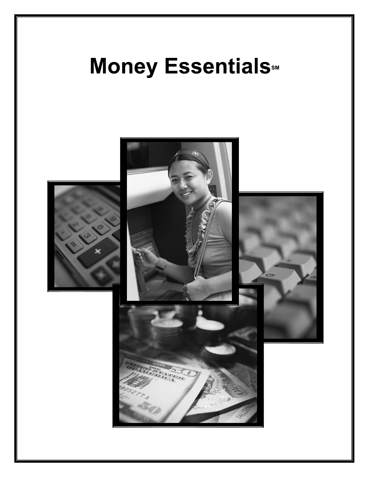# **Money Essentials**

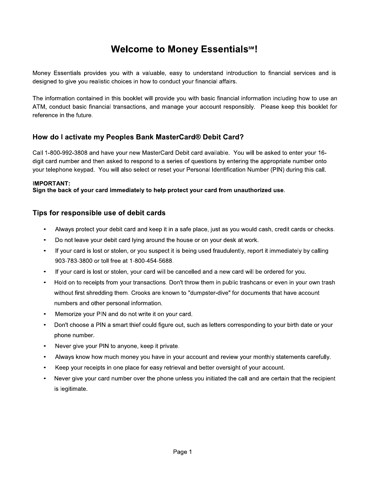# **Welcome to Money Essentials<sup>5M</sup>!**

Money Essentials provides you with a valuable, easy to understand introduction to financial services and is designed to give you realistic choices in how to conduct your financial affairs.

The information contained in this booklet will provide you with basic financial information including how to use an ATM, conduct basic financial transactions, and manage your account responsibly. Please keep this booklet for reference in the future.

## How do I activate my Peoples Bank MasterCard® Debit Card?

Call 1-800-992-3808 and have your new MasterCard Debit card available. You will be asked to enter your 16digit card number and then asked to respond to a series of questions by entering the appropriate number onto your telephone keypad. You will also select or reset your Personal Identification Number (PIN) during this call.

#### **IMPORTANT:**

Sign the back of your card immediately to help protect your card from unauthorized use.

## Tips for responsible use of debit cards

- Always protect your debit card and keep it in a safe place, just as you would cash, credit cards or checks.
- Do not leave your debit card lying around the house or on your desk at work.  $\bullet$
- If your card is lost or stolen, or you suspect it is being used fraudulently, report it immediately by calling 903-783-3800 or toll free at 1-800-454-5688.
- If your card is lost or stolen, your card will be cancelled and a new card will be ordered for you.  $\bullet$
- Hold on to receipts from your transactions. Don't throw them in public trashcans or even in your own trash without first shredding them. Crooks are known to "dumpster-dive" for documents that have account numbers and other personal information.
- Memorize your PIN and do not write it on your card.
- Don't choose a PIN a smart thief could figure out, such as letters corresponding to your birth date or your phone number.
- Never give your PIN to anyone, keep it private.
- Always know how much money you have in your account and review your monthly statements carefully.
- Keep your receipts in one place for easy retrieval and better oversight of your account.
- Never give your card number over the phone unless you initiated the call and are certain that the recipient is legitimate.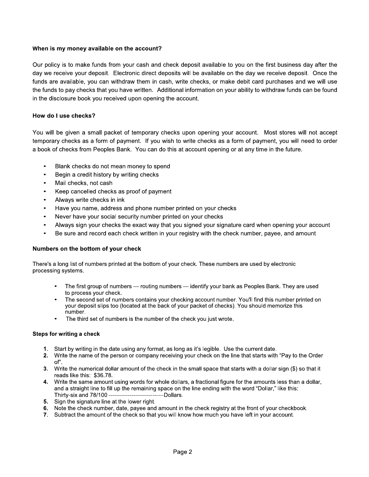#### When is my money available on the account?

Our policy is to make funds from your cash and check deposit available to you on the first business day after the day we receive your deposit. Electronic direct deposits will be available on the day we receive deposit. Once the funds are available, you can withdraw them in cash, write checks, or make debit card purchases and we will use the funds to pay checks that you have written. Additional information on your ability to withdraw funds can be found in the disclosure book you received upon opening the account.

#### How do I use checks?

You will be given a small packet of temporary checks upon opening your account. Most stores will not accept temporary checks as a form of payment. If you wish to write checks as a form of payment, you will need to order a book of checks from Peoples Bank. You can do this at account opening or at any time in the future.

- Blank checks do not mean money to spend
- Begin a credit history by writing checks
- Mail checks, not cash
- Keep cancelled checks as proof of payment
- Always write checks in ink
- Have you name, address and phone number printed on your checks
- Never have your social security number printed on your checks
- Always sign your checks the exact way that you signed your signature card when opening your account
- Be sure and record each check written in your registry with the check number, payee, and amount

#### Numbers on the bottom of your check

There's a long list of numbers printed at the bottom of your check. These numbers are used by electronic processing systems.

- The first group of numbers routing numbers identify your bank as Peoples Bank. They are used to process your check.
- The second set of numbers contains your checking account number. You'll find this number printed on your deposit slips too (located at the back of your packet of checks). You should memorize this number.
- The third set of numbers is the number of the check you just wrote.

#### Steps for writing a check

- 1. Start by writing in the date using any format, as long as it's legible. Use the current date.
- 2. Write the name of the person or company receiving your check on the line that starts with "Pay to the Order of".
- 3. Write the numerical dollar amount of the check in the small space that starts with a dollar sign (\$) so that it reads like this: \$36.78.
- 4. Write the same amount using words for whole dollars, a fractional figure for the amounts less than a dollar, and a straight line to fill up the remaining space on the line ending with the word "Dollar," like this: Thirty-six and 78/100 --------------------------------Dollars.
- 5. Sign the signature line at the lower right.
- 6. Note the check number, date, payee and amount in the check registry at the front of your checkbook.
- 7. Subtract the amount of the check so that you will know how much you have left in your account.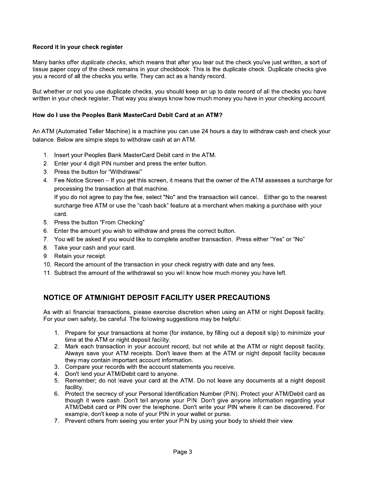#### Record it in your check register

Many banks offer duplicate checks, which means that after you tear out the check you've just written, a sort of tissue paper copy of the check remains in your checkbook. This is the duplicate check. Duplicate checks give you a record of all the checks you write. They can act as a handy record.

But whether or not you use duplicate checks, you should keep an up to date record of all the checks you have written in your check register. That way you always know how much money you have in your checking account.

#### How do I use the Peoples Bank MasterCard Debit Card at an ATM?

An ATM (Automated Teller Machine) is a machine you can use 24 hours a day to withdraw cash and check your balance. Below are simple steps to withdraw cash at an ATM.

- 1. Insert your Peoples Bank MasterCard Debit card in the ATM.
- 2. Enter your 4 digit PIN number and press the enter button.
- 3. Press the button for "Withdrawal"
- 4. Fee Notice Screen If you get this screen, it means that the owner of the ATM assesses a surcharge for processing the transaction at that machine.

If you do not agree to pay the fee, select "No" and the transaction will cancel. Either go to the nearest surcharge free ATM or use the "cash back" feature at a merchant when making a purchase with your card.

- 5. Press the button "From Checking"
- 6. Enter the amount you wish to withdraw and press the correct button.
- 7. You will be asked if you would like to complete another transaction. Press either "Yes" or "No"
- 8. Take your cash and your card.
- 9. Retain your receipt.
- 10. Record the amount of the transaction in your check registry with date and any fees.
- 11. Subtract the amount of the withdrawal so you will know how much money you have left.

## NOTICE OF ATM/NIGHT DEPOSIT FACILITY USER PRECAUTIONS

As with all financial transactions, please exercise discretion when using an ATM or night Deposit facility. For your own safety, be careful. The following suggestions may be helpful:

- 1. Prepare for your transactions at home (for instance, by filling out a deposit slip) to minimize your time at the ATM or night deposit facility.
- 2. Mark each transaction in your account record, but not while at the ATM or night deposit facility. Always save your ATM receipts. Don't leave them at the ATM or night deposit facility because they may contain important account information.
- 3. Compare your records with the account statements you receive.
- 4. Don't lend your ATM/Debit card to anyone.
- 5. Remember; do not leave your card at the ATM. Do not leave any documents at a night deposit facility.
- 6. Protect the secrecy of your Personal Identification Number (PIN). Protect your ATM/Debit card as though it were cash. Don't tell anyone your PIN. Don't give anyone information regarding your ATM/Debit card or PIN over the telephone. Don't write your PIN where it can be discovered. For example, don't keep a note of your PIN in your wallet or purse.
- 7. Prevent others from seeing you enter your PIN by using your body to shield their view.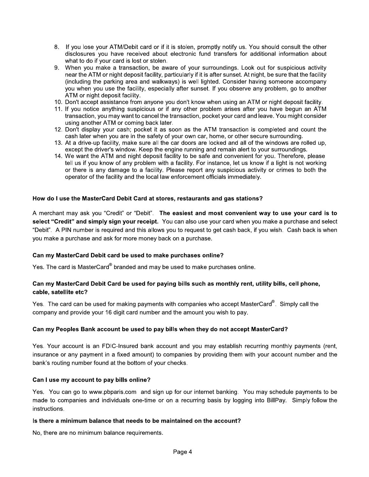- 8. If you lose your ATM/Debit card or if it is stolen, promptly notify us. You should consult the other disclosures you have received about electronic fund transfers for additional information about what to do if your card is lost or stolen.
- 9. When you make a transaction, be aware of your surroundings. Look out for suspicious activity near the ATM or night deposit facility, particularly if it is after sunset. At night, be sure that the facility (including the parking area and walkways) is well lighted. Consider having someone accompany you when you use the facility, especially after sunset. If you observe any problem, go to another ATM or night deposit facility.
- 10. Don't accept assistance from anyone you don't know when using an ATM or night deposit facility.
- 11. If you notice anything suspicious or if any other problem arises after you have begun an ATM transaction, you may want to cancel the transaction, pocket your card and leave. You might consider using another ATM or coming back later.
- 12. Don't display your cash; pocket it as soon as the ATM transaction is completed and count the cash later when you are in the safety of your own car, home, or other secure surrounding.
- 13. At a drive-up facility, make sure all the car doors are locked and all of the windows are rolled up, except the driver's window. Keep the engine running and remain alert to your surroundings.
- 14. We want the ATM and night deposit facility to be safe and convenient for you. Therefore, please tell us if you know of any problem with a facility. For instance, let us know if a light is not working or there is any damage to a facility. Please report any suspicious activity or crimes to both the operator of the facility and the local law enforcement officials immediately.

#### How do I use the MasterCard Debit Card at stores, restaurants and gas stations?

A merchant may ask you "Credit" or "Debit". The easiest and most convenient way to use your card is to select "Credit" and simply sign your receipt. You can also use your card when you make a purchase and select "Debit". A PIN number is required and this allows you to request to get cash back, if you wish. Cash back is when you make a purchase and ask for more money back on a purchase.

#### Can my MasterCard Debit card be used to make purchases online?

Yes. The card is MasterCard® branded and may be used to make purchases online.

#### Can my MasterCard Debit Card be used for paying bills such as monthly rent, utility bills, cell phone, cable, satellite etc?

Yes. The card can be used for making payments with companies who accept MasterCard®. Simply call the company and provide your 16 digit card number and the amount you wish to pay.

#### Can my Peoples Bank account be used to pay bills when they do not accept MasterCard?

Yes. Your account is an FDIC-Insured bank account and you may establish recurring monthly payments (rent, insurance or any payment in a fixed amount) to companies by providing them with your account number and the bank's routing number found at the bottom of your checks.

#### Can I use my account to pay bills online?

Yes. You can go to www.pbparis.com and sign up for our internet banking. You may schedule payments to be made to companies and individuals one-time or on a recurring basis by logging into BillPay. Simply follow the instructions.

#### Is there a minimum balance that needs to be maintained on the account?

No, there are no minimum balance requirements.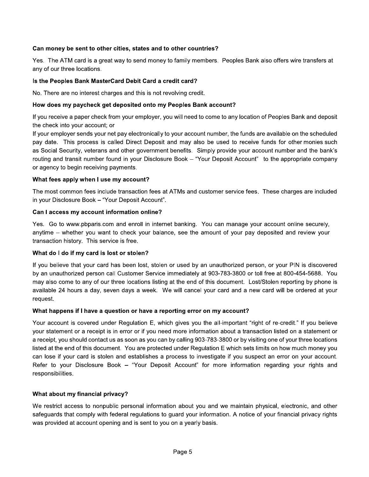#### Can money be sent to other cities, states and to other countries?

Yes. The ATM card is a great way to send money to family members. Peoples Bank also offers wire transfers at any of our three locations.

#### Is the Peoples Bank MasterCard Debit Card a credit card?

No. There are no interest charges and this is not revolving credit.

#### How does my paycheck get deposited onto my Peoples Bank account?

If you receive a paper check from your employer, you will need to come to any location of Peoples Bank and deposit the check into your account; or

If your employer sends your net pay electronically to your account number, the funds are available on the scheduled pay date. This process is called Direct Deposit and may also be used to receive funds for other monies such as Social Security, veterans and other government benefits. Simply provide your account number and the bank's routing and transit number found in your Disclosure Book - "Your Deposit Account" to the appropriate company or agency to begin receiving payments.

#### What fees apply when I use my account?

The most common fees include transaction fees at ATMs and customer service fees. These charges are included in your Disclosure Book - "Your Deposit Account".

#### Can I access my account information online?

Yes. Go to www.pbparis.com and enroll in internet banking. You can manage your account online securely, anytime – whether you want to check your balance, see the amount of your pay deposited and review your transaction history. This service is free.

#### What do I do if my card is lost or stolen?

If you believe that your card has been lost, stolen or used by an unauthorized person, or your PIN is discovered by an unauthorized person call Customer Service immediately at 903-783-3800 or toll free at 800-454-5688. You may also come to any of our three locations listing at the end of this document. Lost/Stolen reporting by phone is available 24 hours a day, seven days a week. We will cancel your card and a new card will be ordered at your request.

#### What happens if I have a question or have a reporting error on my account?

Your account is covered under Regulation E, which gives you the all-important "right of re-credit." If you believe your statement or a receipt is in error or if you need more information about a transaction listed on a statement or a receipt, you should contact us as soon as you can by calling 903-783-3800 or by visiting one of your three locations listed at the end of this document. You are protected under Regulation E which sets limits on how much money you can lose if your card is stolen and establishes a process to investigate if you suspect an error on your account. Refer to your Disclosure Book - "Your Deposit Account" for more information regarding your rights and responsibilities.

#### What about my financial privacy?

We restrict access to nonpublic personal information about you and we maintain physical, electronic, and other safeguards that comply with federal regulations to guard your information. A notice of your financial privacy rights was provided at account opening and is sent to you on a yearly basis.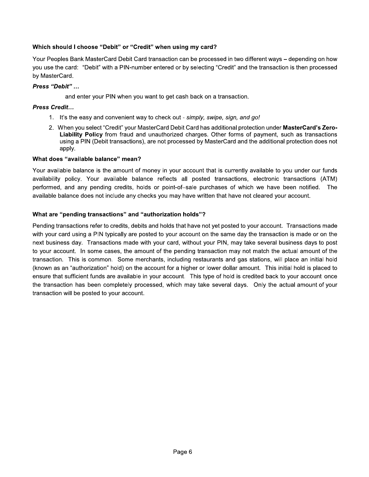#### Which should I choose "Debit" or "Credit" when using my card?

Your Peoples Bank MasterCard Debit Card transaction can be processed in two different ways – depending on how you use the card: "Debit" with a PIN-number entered or by selecting "Credit" and the transaction is then processed by MasterCard.

#### Press "Debit" ...

and enter your PIN when you want to get cash back on a transaction.

#### Press Credit...

- 1. It's the easy and convenient way to check out simply, swipe, sign, and go!
- 2. When you select "Credit" your MasterCard Debit Card has additional protection under MasterCard's Zero-Liability Policy from fraud and unauthorized charges. Other forms of payment, such as transactions using a PIN (Debit transactions), are not processed by MasterCard and the additional protection does not apply.

#### What does "available balance" mean?

Your available balance is the amount of money in your account that is currently available to you under our funds availability policy. Your available balance reflects all posted transactions, electronic transactions (ATM) performed, and any pending credits, holds or point-of-sale purchases of which we have been notified. The available balance does not include any checks you may have written that have not cleared your account.

#### What are "pending transactions" and "authorization holds"?

Pending transactions refer to credits, debits and holds that have not yet posted to your account. Transactions made with your card using a PIN typically are posted to your account on the same day the transaction is made or on the next business day. Transactions made with your card, without your PIN, may take several business days to post to your account. In some cases, the amount of the pending transaction may not match the actual amount of the transaction. This is common. Some merchants, including restaurants and gas stations, will place an initial hold (known as an "authorization" hold) on the account for a higher or lower dollar amount. This initial hold is placed to ensure that sufficient funds are available in your account. This type of hold is credited back to your account once the transaction has been completely processed, which may take several days. Only the actual amount of your transaction will be posted to your account.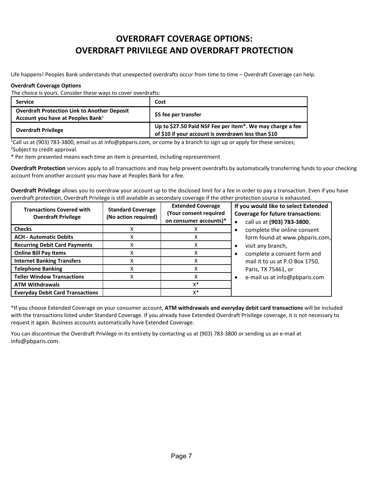# **OVERDRAFT COVERAGE OPTIONS: OVERDRAFT PRIVILEGE AND OVERDRAFT PROTECTION**

Life happens! Peoples Bank understands that unexpected overdrafts occur from time to time – Overdraft Coverage can help.

#### **Overdraft Coverage Options**

The choice is yours. Consider these ways to cover overdrafts:

| <b>Service</b>                                                                                       | Cost                                                                                                                          |
|------------------------------------------------------------------------------------------------------|-------------------------------------------------------------------------------------------------------------------------------|
| <b>Overdraft Protection Link to Another Deposit</b><br>Account you have at Peoples Bank <sup>1</sup> | \$5 fee per transfer                                                                                                          |
| <b>Overdraft Privilege</b>                                                                           | Up to \$27.50 Paid NSF Fee per item <sup>*</sup> . We may charge a fee<br>of \$10 if your account is overdrawn less than \$10 |

<sup>1</sup>Call us at (903) 783-3800, email us at info@pbparis.com, or come by a branch to sign up or apply for these services; 2 Subject to credit approval.

\* Per item presented means each time an item is presented, including representment

**Overdraft Protection** services apply to all transactions and may help prevent overdrafts by automatically transferring funds to your checking account from another account you may have at Peoples Bank for a fee.

**Overdraft Privilege** allows you to overdraw your account up to the disclosed limit for a fee in order to pay a transaction. Even if you have overdraft protection, Overdraft Privilege is still available as secondary coverage if the other protection source is exhausted.

| <b>Transactions Covered with</b><br><b>Overdraft Privilege</b> | <b>Standard Coverage</b><br>(No action required) | <b>Extended Coverage</b><br>(Your consent required<br>on consumer accounts)* | If you would like to select Extended<br><b>Coverage for future transactions:</b><br>call us at (903) 783-3800,<br>$\bullet$ |
|----------------------------------------------------------------|--------------------------------------------------|------------------------------------------------------------------------------|-----------------------------------------------------------------------------------------------------------------------------|
| <b>Checks</b>                                                  |                                                  |                                                                              | complete the online consent                                                                                                 |
| <b>ACH - Automatic Debits</b>                                  |                                                  |                                                                              | form found at www.pbparis.com,                                                                                              |
| <b>Recurring Debit Card Payments</b>                           |                                                  |                                                                              | visit any branch,<br>$\bullet$                                                                                              |
| <b>Online Bill Pay Items</b>                                   |                                                  |                                                                              | complete a consent form and<br>$\bullet$                                                                                    |
| <b>Internet Banking Transfers</b>                              |                                                  |                                                                              | mail it to us at P.O Box 1750,                                                                                              |
| <b>Telephone Banking</b>                                       |                                                  |                                                                              | Paris, TX 75461, or                                                                                                         |
| <b>Teller Window Transactions</b>                              |                                                  |                                                                              | e-mail us at info@pbparis.com<br>$\bullet$                                                                                  |
| <b>ATM Withdrawals</b>                                         |                                                  | $X^*$                                                                        |                                                                                                                             |
| <b>Everyday Debit Card Transactions</b>                        |                                                  | X*                                                                           |                                                                                                                             |

\*If you choose Extended Coverage on your consumer account, **ATM withdrawals and everyday debit card transactions** will be included with the transactions listed under Standard Coverage. If you already have Extended Overdraft Privilege coverage, it is not necessary to request it again. Business accounts automatically have Extended Coverage.

You can discontinue the Overdraft Privilege in its entirety by contacting us at (903) 783-3800 or sending us an e-mail at info@pbparis.com.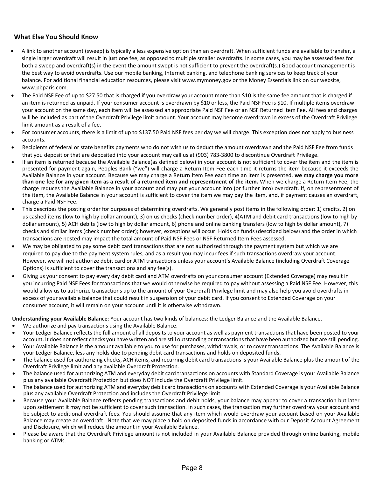#### **What Else You Should Know**

- A link to another account (sweep) is typically a less expensive option than an overdraft. When sufficient funds are available to transfer, a single larger overdraft will result in just one fee, as opposed to multiple smaller overdrafts. In some cases, you may be assessed fees for both a sweep and overdraft(s) in the event the amount swept is not sufficient to prevent the overdraft(s.) Good account management is the best way to avoid overdrafts. Use our mobile banking, Internet banking, and telephone banking services to keep track of your balance. For additional financial education resources, please visit www.mymoney.gov or the Money Essentials link on our website, www.pbparis.com.
- The Paid NSF Fee of up to \$27.50 that is charged if you overdraw your account more than \$10 is the same fee amount that is charged if an item is returned as unpaid. If your consumer account is overdrawn by \$10 or less, the Paid NSF Fee is \$10. If multiple items overdraw your account on the same day, each item will be assessed an appropriate Paid NSF Fee or an NSF Returned Item Fee. All fees and charges will be included as part of the Overdraft Privilege limit amount. Your account may become overdrawn in excess of the Overdraft Privilege limit amount as a result of a fee.
- For consumer accounts, there is a limit of up to \$137.50 Paid NSF fees per day we will charge. This exception does not apply to business accounts.
- Recipients of federal or state benefits payments who do not wish us to deduct the amount overdrawn and the Paid NSF Fee from funds that you deposit or that are deposited into your account may call us at (903) 783‐3800 to discontinue Overdraft Privilege.
- If an item is returned because the Available Balance(as defined below) in your account is not sufficient to cover the item and the item is presented for payment again, Peoples Bank ("we") will charge a Return Item Fee each time it returns the item because it exceeds the Available Balance in your account. Because we may charge a Return Item Fee each time an item is presented, **we may charge you more** than one fee for any given item as a result of a returned item and representment of the item. When we charge a Return Item Fee, the charge reduces the Available Balance in your account and may put your account into (or further into) overdraft. If, on representment of the item, the Available Balance in your account is sufficient to cover the item we may pay the item, and, if payment causes an overdraft, charge a Paid NSF Fee.
- This describes the posting order for purposes of determining overdrafts. We generally post items in the following order: 1) credits, 2) on us cashed items (low to high by dollar amount), 3) on us checks (check number order), 4)ATM and debit card transactions (low to high by dollar amount), 5) ACH debits (low to high by dollar amount, 6) phone and online banking transfers (low to high by dollar amount), 7) checks and similar items (check number order); however, exceptions will occur. Holds on funds (described below) and the order in which transactions are posted may impact the total amount of Paid NSF Fees or NSF Returned Item Fees assessed.
- We may be obligated to pay some debit card transactions that are not authorized through the payment system but which we are required to pay due to the payment system rules, and as a result you may incur fees if such transactions overdraw your account. However, we will not authorize debit card or ATM transactions unless your account's Available Balance (including Overdraft Coverage Options) is sufficient to cover the transactions and any fee(s).
- Giving us your consent to pay every day debit card and ATM overdrafts on your consumer account (Extended Coverage) may result in you incurring Paid NSF Fees for transactions that we would otherwise be required to pay without assessing a Paid NSF Fee. However, this would allow us to authorize transactions up to the amount of your Overdraft Privilege limit and may also help you avoid overdrafts in excess of your available balance that could result in suspension of your debit card. If you consent to Extended Coverage on your consumer account, it will remain on your account until it is otherwise withdrawn.

**Understanding your Available Balance**: Your account has two kinds of balances: the Ledger Balance and the Available Balance.

- We authorize and pay transactions using the Available Balance.
- Your Ledger Balance reflects the full amount of all deposits to your account as well as payment transactions that have been posted to your account. It does not reflect checks you have written and are still outstanding ortransactionsthat have been authorized but are still pending.
- Your Available Balance is the amount available to you to use for purchases, withdrawals, or to cover transactions. The Available Balance is your Ledger Balance, less any holds due to pending debit card transactions and holds on deposited funds.
- The balance used for authorizing checks, ACH items, and recurring debit card transactions is your Available Balance plus the amount of the Overdraft Privilege limit and any available Overdraft Protection.
- The balance used for authorizing ATM and everyday debit card transactions on accounts with Standard Coverage is your Available Balance plus any available Overdraft Protection but does NOT include the Overdraft Privilege limit.
- The balance used for authorizing ATM and everyday debit card transactions on accounts with Extended Coverage is your Available Balance plus any available Overdraft Protection and includes the Overdraft Privilege limit.
- Because your Available Balance reflects pending transactions and debit holds, your balance may appear to cover a transaction but later upon settlement it may not be sufficient to cover such transaction. In such cases, the transaction may further overdraw your account and be subject to additional overdraft fees. You should assume that any item which would overdraw your account based on your Available Balance may create an overdraft. Note that we may place a hold on deposited funds in accordance with our Deposit Account Agreement and Disclosure, which will reduce the amount in your Available Balance.
- Please be aware that the Overdraft Privilege amount is not included in your Available Balance provided through online banking, mobile banking or ATMs.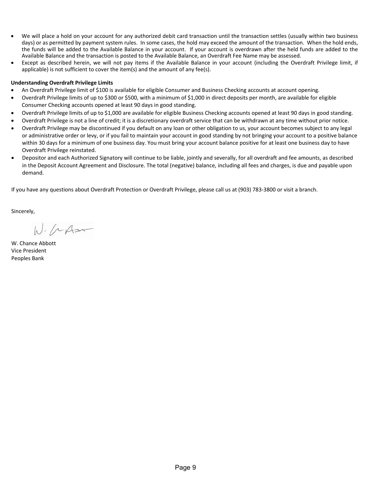- We will place a hold on your account for any authorized debit card transaction until the transaction settles (usually within two business days) or as permitted by payment system rules. In some cases, the hold may exceed the amount of the transaction. When the hold ends, the funds will be added to the Available Balance in your account. If your account is overdrawn after the held funds are added to the Available Balance and the transaction is posted to the Available Balance, an Overdraft Fee Name may be assessed.
- Except as described herein, we will not pay items if the Available Balance in your account (including the Overdraft Privilege limit, if applicable) is not sufficient to cover the item(s) and the amount of any fee(s).

#### **Understanding Overdraft Privilege Limits**

- An Overdraft Privilege limit of \$100 is available for eligible Consumer and Business Checking accounts at account opening.
- Overdraft Privilege limits of up to \$300 or \$500, with a minimum of \$1,000 in direct deposits per month, are available for eligible Consumer Checking accounts opened at least 90 days in good standing.
- Overdraft Privilege limits of up to \$1,000 are available for eligible Business Checking accounts opened at least 90 days in good standing.
- Overdraft Privilege is not a line of credit; it is a discretionary overdraft service that can be withdrawn at any time without prior notice.
- Overdraft Privilege may be discontinued if you default on any loan or other obligation to us, your account becomes subject to any legal or administrative order or levy, or if you fail to maintain your account in good standing by not bringing your account to a positive balance within 30 days for a minimum of one business day. You must bring your account balance positive for at least one business day to have Overdraft Privilege reinstated.
- Depositor and each Authorized Signatory will continue to be liable, jointly and severally, for all overdraft and fee amounts, as described in the Deposit Account Agreement and Disclosure. The total (negative) balance, including all fees and charges, is due and payable upon demand.

If you have any questions about Overdraft Protection or Overdraft Privilege, please call us at (903) 783‐3800 or visit a branch.

Sincerely,

 $W.$  (  $AA$ 

W. Chance Abbott Vice President Peoples Bank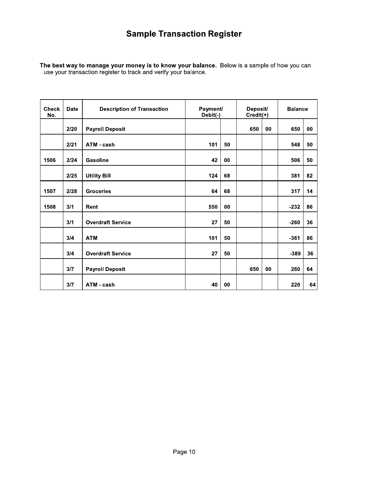# **Sample Transaction Register**

The best way to manage your money is to know your balance. Below is a sample of how you can use your transaction register to track and verify your balance.

| <b>Check</b><br>No. | <b>Date</b> | <b>Description of Transaction</b> | Payment/<br>Debit(-) |    | Deposit/<br>Credit(+) |    | <b>Balance</b> |    |
|---------------------|-------------|-----------------------------------|----------------------|----|-----------------------|----|----------------|----|
|                     | 2/20        | <b>Payroll Deposit</b>            |                      |    | 650                   | 00 | 650            | 00 |
|                     | 2/21        | ATM - cash                        | 101                  | 50 |                       |    | 548            | 50 |
| 1506                | 2/24        | <b>Gasoline</b>                   | 42                   | 00 |                       |    | 506            | 50 |
|                     | 2/25        | <b>Utility Bill</b>               | 124                  | 68 |                       |    | 381            | 82 |
| 1507                | 2/28        | <b>Groceries</b>                  | 64                   | 68 |                       |    | 317            | 14 |
| 1508                | 3/1         | Rent                              | 550                  | 00 |                       |    | $-232$         | 86 |
|                     | 3/1         | <b>Overdraft Service</b>          | 27                   | 50 |                       |    | $-260$         | 36 |
|                     | 3/4         | <b>ATM</b>                        | 101                  | 50 |                       |    | $-361$         | 86 |
|                     | 3/4         | <b>Overdraft Service</b>          | 27                   | 50 |                       |    | $-389$         | 36 |
|                     | 3/7         | <b>Payroll Deposit</b>            |                      |    | 650                   | 00 | 260            | 64 |
|                     | 3/7         | ATM - cash                        | 40                   | 00 |                       |    | 220            | 64 |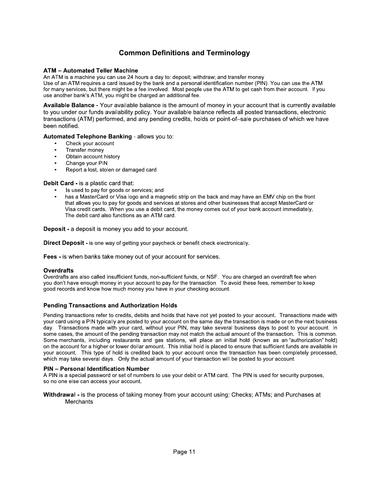## **Common Definitions and Terminology**

#### **ATM - Automated Teller Machine**

An ATM is a machine you can use 24 hours a day to: deposit; withdraw; and transfer money Use of an ATM requires a card issued by the bank and a personal identification number (PIN). You can use the ATM for many services, but there might be a fee involved. Most people use the ATM to get cash from their account. If you use another bank's ATM, you might be charged an additional fee.

Available Balance - Your available balance is the amount of money in your account that is currently available to you under our funds availability policy. Your available balance reflects all posted transactions, electronic transactions (ATM) performed, and any pending credits, holds or point-of-sale purchases of which we have been notified.

Automated Telephone Banking - allows you to:

- Check your account
- Transfer money
- $\bullet$ Obtain account history
- Change your PIN
- Report a lost, stolen or damaged card

Debit Card - is a plastic card that:

- Is used to pay for goods or services; and
- has a MasterCard or Visa logo and a magnetic strip on the back and may have an EMV chip on the front that allows you to pay for goods and services at stores and other businesses that accept MasterCard or Visa credit cards. When you use a debit card, the money comes out of your bank account immediately. The debit card also functions as an ATM card.

**Deposit** - a deposit is money you add to your account.

**Direct Deposit - is one way of getting your paycheck or benefit check electronically.** 

Fees - is when banks take money out of your account for services.

#### **Overdrafts**

Overdrafts are also called insufficient funds, non-sufficient funds, or NSF. You are charged an overdraft fee when<br>you don't have enough money in your account to pay for the transaction. To avoid these fees, remember to ke good records and know how much money you have in your checking account.

#### **Pending Transactions and Authorization Holds**

Pending transactions refer to credits, debits and holds that have not yet posted to your account. Transactions made with your card using a PIN typically are posted to your account on the same day the transaction is made or on the next business day. Transactions made with your card, without your PIN, may take several business days to post to your account. In some cases, the amount of the pending transaction may not match the actual amount of the transaction. This is common. Some merchants, including restaurants and gas stations, will place an initial hold (known as an "authorization" hold) on the account for a higher or lower dollar amount. This initial hold is placed to ensure that sufficient funds are available in your account. This type of hold is credited back to your account once the transaction has been completely processed, which may take several days. Only the actual amount of your transaction will be posted to your account.

#### **PIN - Personal Identification Number**

A PIN is a special password or set of numbers to use your debit or ATM card. The PIN is used for security purposes, so no one else can access your account.

Withdrawal - is the process of taking money from your account using: Checks; ATMs; and Purchases at Merchants